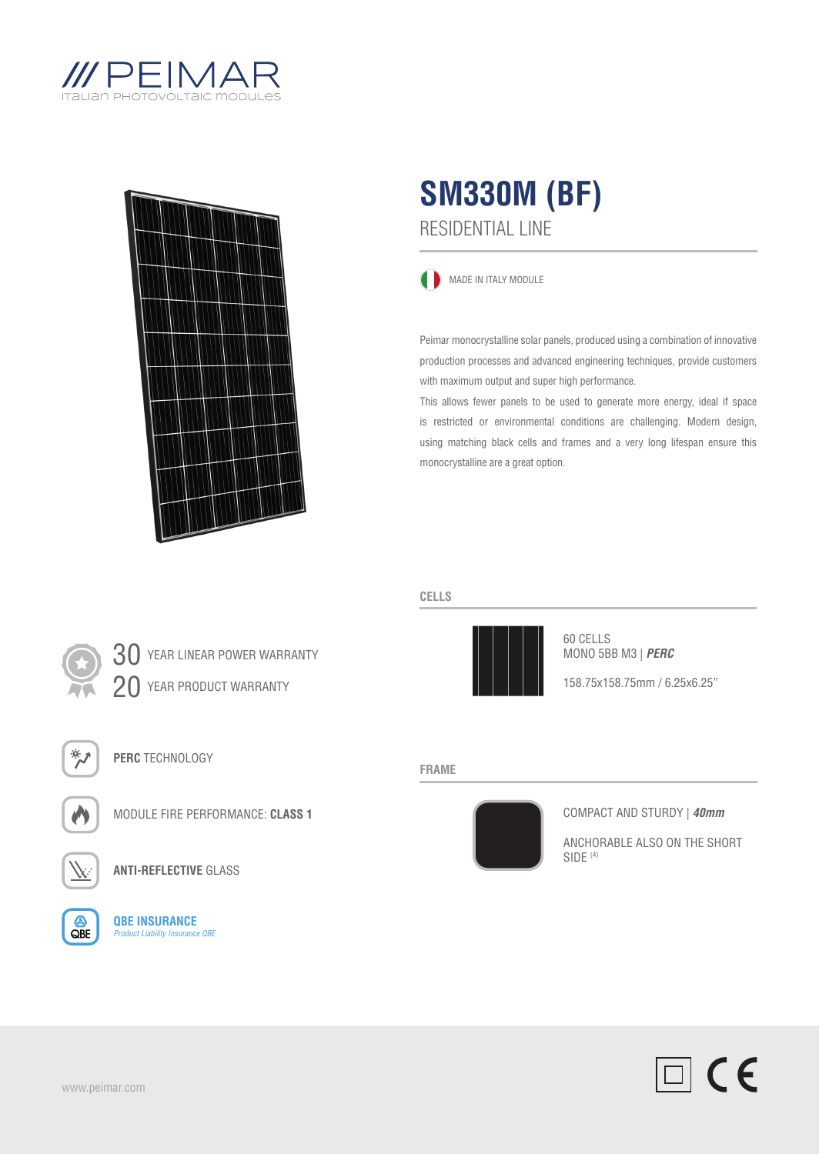



## RESIDENTIAL LINE **SM330M (BF)**

**MADE IN ITALY MODULE** 

Peimar monocrystalline solar panels, produced using a combination of innovative production processes and advanced engineering techniques, provide customers with maximum output and super high performance.

This allows fewer panels to be used to generate more energy, ideal if space is restricted or environmental conditions are challenging. Modern design, using matching black cells and frames and a very long lifespan ensure this monocrystalline are a great option.

### **CELLS**



60 CELLS MONO 5BB M3 | *PERC*

158.75x158.75mm / 6.25x6.25"

#### **FRAME**



### COMPACT AND STURDY | *40mm*

ANCHORABLE ALSO ON THE SHORT SIDE (4)



30 YEAR LINEAR POWER WARRANTY 20 YEAR PRODUCT WARRANTY

**PERC** TECHNOLOGY



MODULE FIRE PERFORMANCE: **CLASS 1**



**ANTI-REFLECTIVE** GLASS



**QBE INSURANCE** *Product Liability Insurance QBE*